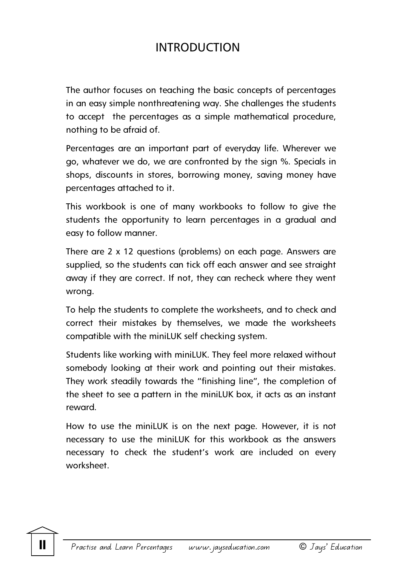## INTRODUCTION

The author focuses on teaching the basic concepts of percentages in an easy simple nonthreatening way. She challenges the students to accept the percentages as a simple mathematical procedure, nothing to be afraid of.

Percentages are an important part of everyday life. Wherever we go, whatever we do, we are confronted by the sign %. Specials in shops, discounts in stores, borrowing money, saving money have percentages attached to it.

This workbook is one of many workbooks to follow to give the students the opportunity to learn percentages in a gradual and easy to follow manner.

There are 2 x 12 questions (problems) on each page. Answers are supplied, so the students can tick off each answer and see straight away if they are correct. If not, they can recheck where they went wrong.

To help the students to complete the worksheets, and to check and correct their mistakes by themselves, we made the worksheets compatible with the miniLUK self checking system.

Students like working with miniLUK. They feel more relaxed without somebody looking at their work and pointing out their mistakes. They work steadily towards the "finishing line", the completion of the sheet to see a pattern in the miniLUK box, it acts as an instant reward.

How to use the miniLUK is on the next page. However, it is not necessary to use the miniLUK for this workbook as the answers necessary to check the student's work are included on every worksheet.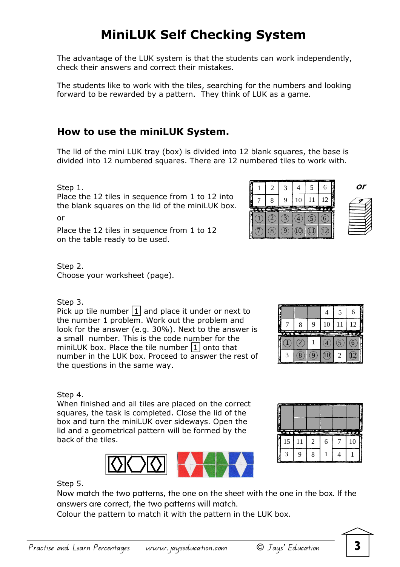## **MiniLUK Self Checking System**

The advantage of the LUK system is that the students can work independently, check their answers and correct their mistakes.

The students like to work with the tiles, searching for the numbers and looking forward to be rewarded by a pattern. They think of LUK as a game.

## **How to use the miniLUK System.**

The lid of the mini LUK tray (box) is divided into 12 blank squares, the base is divided into 12 numbered squares. There are 12 numbered tiles to work with.

Step 1.

Place the 12 tiles in sequence from 1 to 12 into the blank squares on the lid of the miniLUK box.

or

Place the 12 tiles in sequence from 1 to 12 on the table ready to be used.

Step 2. Choose your worksheet (page).

Step 3.

Pick up tile number  $\boxed{1}$  and place it under or next to the number 1 problem. Work out the problem and look for the answer (e.g. 30%). Next to the answer is a small number. This is the code number for the miniLUK box. Place the tile number  $\boxed{1}$  onto that number in the LUK box. Proceed to answer the rest of the questions in the same way.



When finished and all tiles are placed on the correct squares, the task is completed. Close the lid of the box and turn the miniLUK over sideways. Open the lid and a geometrical pattern will be formed by the back of the tiles.





Step 5.

Now match the two patterns, the one on the sheet with the one in the box. If the answers are correct, the two patterns will match.

Colour the pattern to match it with the pattern in the LUK box.



**or** 

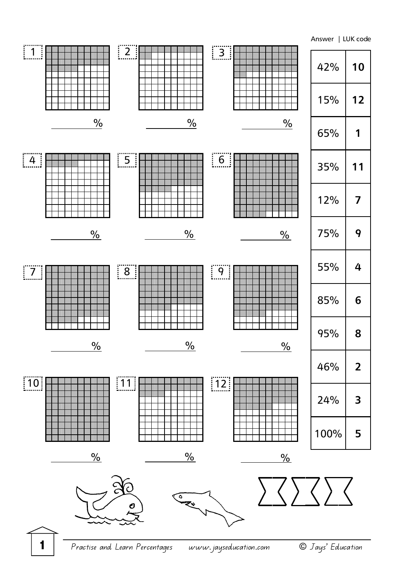Answer | LUK code



**1** Practise and Learn Percentages www.jayseducation.com © Jays' Education